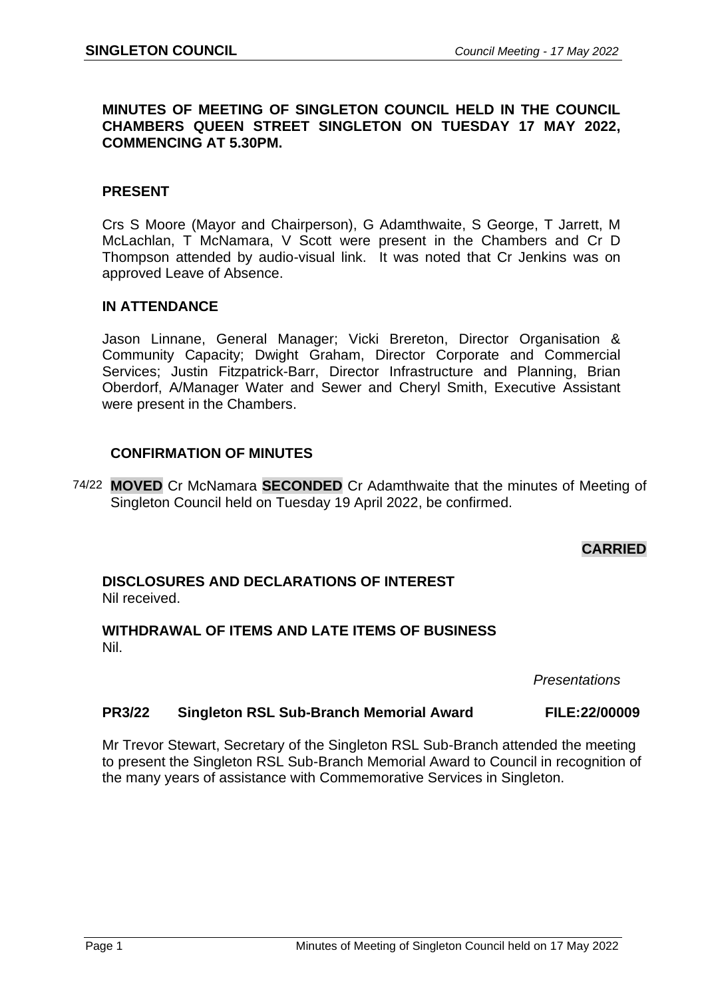## **MINUTES OF MEETING OF SINGLETON COUNCIL HELD IN THE COUNCIL CHAMBERS QUEEN STREET SINGLETON ON TUESDAY 17 MAY 2022, COMMENCING AT 5.30PM.**

## **PRESENT**

Crs S Moore (Mayor and Chairperson), G Adamthwaite, S George, T Jarrett, M McLachlan, T McNamara, V Scott were present in the Chambers and Cr D Thompson attended by audio-visual link. It was noted that Cr Jenkins was on approved Leave of Absence.

## **IN ATTENDANCE**

Jason Linnane, General Manager; Vicki Brereton, Director Organisation & Community Capacity; Dwight Graham, Director Corporate and Commercial Services; Justin Fitzpatrick-Barr, Director Infrastructure and Planning, Brian Oberdorf, A/Manager Water and Sewer and Cheryl Smith, Executive Assistant were present in the Chambers.

## **CONFIRMATION OF MINUTES**

74/22 **MOVED** Cr McNamara **SECONDED** Cr Adamthwaite that the minutes of Meeting of Singleton Council held on Tuesday 19 April 2022, be confirmed.

# **CARRIED**

## **DISCLOSURES AND DECLARATIONS OF INTEREST** Nil received.

## **WITHDRAWAL OF ITEMS AND LATE ITEMS OF BUSINESS** Nil.

*Presentations*

## **PR3/22 Singleton RSL Sub-Branch Memorial Award FILE:22/00009**

Mr Trevor Stewart, Secretary of the Singleton RSL Sub-Branch attended the meeting to present the Singleton RSL Sub-Branch Memorial Award to Council in recognition of the many years of assistance with Commemorative Services in Singleton.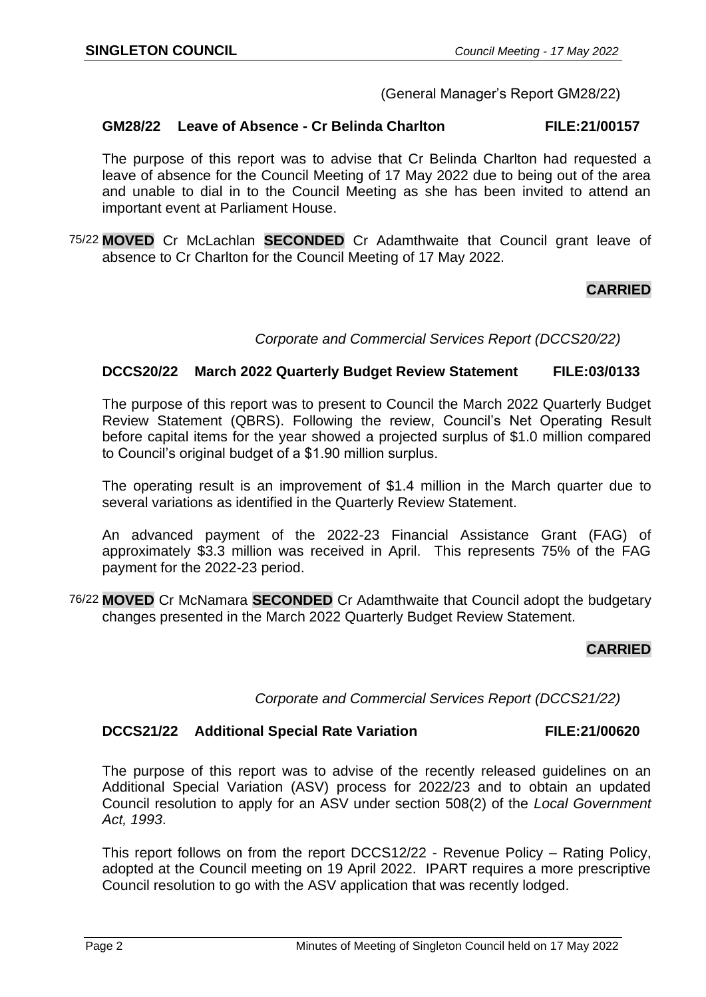## (General Manager's Report GM28/22)

## **GM28/22 Leave of Absence - Cr Belinda Charlton FILE:21/00157**

The purpose of this report was to advise that Cr Belinda Charlton had requested a leave of absence for the Council Meeting of 17 May 2022 due to being out of the area and unable to dial in to the Council Meeting as she has been invited to attend an important event at Parliament House.

75/22 **MOVED** Cr McLachlan **SECONDED** Cr Adamthwaite that Council grant leave of absence to Cr Charlton for the Council Meeting of 17 May 2022.

# **CARRIED**

*Corporate and Commercial Services Report (DCCS20/22)*

#### **DCCS20/22 March 2022 Quarterly Budget Review Statement FILE:03/0133**

The purpose of this report was to present to Council the March 2022 Quarterly Budget Review Statement (QBRS). Following the review, Council's Net Operating Result before capital items for the year showed a projected surplus of \$1.0 million compared to Council's original budget of a \$1.90 million surplus.

The operating result is an improvement of \$1.4 million in the March quarter due to several variations as identified in the Quarterly Review Statement.

An advanced payment of the 2022-23 Financial Assistance Grant (FAG) of approximately \$3.3 million was received in April. This represents 75% of the FAG payment for the 2022-23 period.

76/22 **MOVED** Cr McNamara **SECONDED** Cr Adamthwaite that Council adopt the budgetary changes presented in the March 2022 Quarterly Budget Review Statement.

#### **CARRIED**

*Corporate and Commercial Services Report (DCCS21/22)*

#### **DCCS21/22 Additional Special Rate Variation FILE:21/00620**

The purpose of this report was to advise of the recently released guidelines on an Additional Special Variation (ASV) process for 2022/23 and to obtain an updated Council resolution to apply for an ASV under section 508(2) of the *Local Government Act, 1993*.

This report follows on from the report DCCS12/22 - Revenue Policy – Rating Policy, adopted at the Council meeting on 19 April 2022. IPART requires a more prescriptive Council resolution to go with the ASV application that was recently lodged.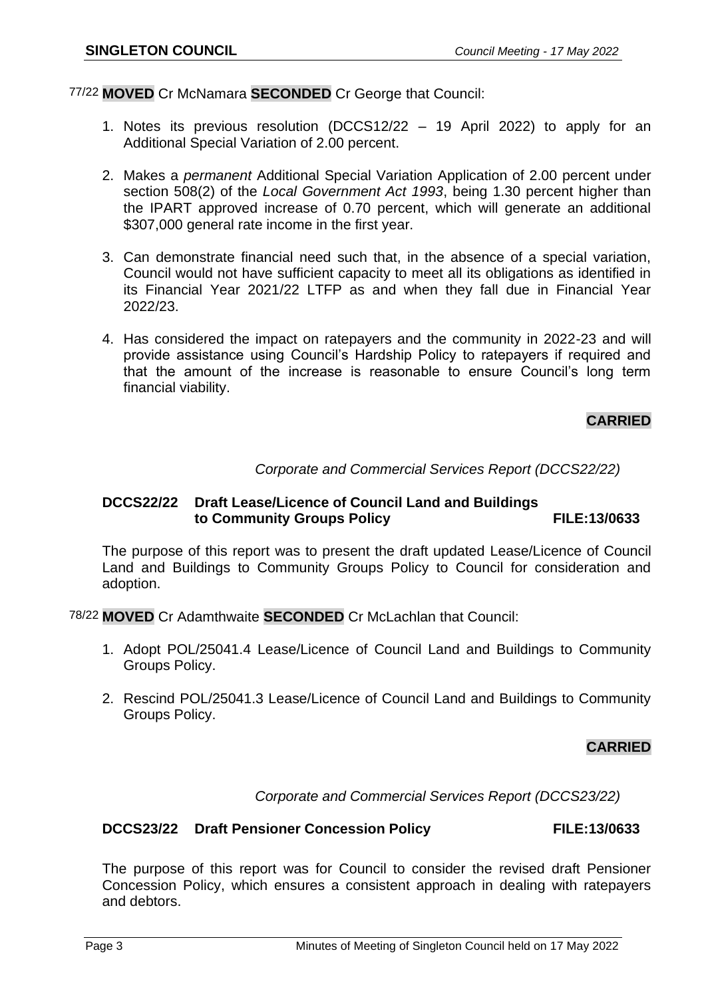## 77/22 **MOVED** Cr McNamara **SECONDED** Cr George that Council:

- 1. Notes its previous resolution (DCCS12/22 19 April 2022) to apply for an Additional Special Variation of 2.00 percent.
- 2. Makes a *permanent* Additional Special Variation Application of 2.00 percent under section 508(2) of the *Local Government Act 1993*, being 1.30 percent higher than the IPART approved increase of 0.70 percent, which will generate an additional \$307,000 general rate income in the first year.
- 3. Can demonstrate financial need such that, in the absence of a special variation, Council would not have sufficient capacity to meet all its obligations as identified in its Financial Year 2021/22 LTFP as and when they fall due in Financial Year 2022/23.
- 4. Has considered the impact on ratepayers and the community in 2022-23 and will provide assistance using Council's Hardship Policy to ratepayers if required and that the amount of the increase is reasonable to ensure Council's long term financial viability.

# **CARRIED**

*Corporate and Commercial Services Report (DCCS22/22)*

## **DCCS22/22 Draft Lease/Licence of Council Land and Buildings to Community Groups Policy FILE:13/0633**

The purpose of this report was to present the draft updated Lease/Licence of Council Land and Buildings to Community Groups Policy to Council for consideration and adoption.

78/22 **MOVED** Cr Adamthwaite **SECONDED** Cr McLachlan that Council:

- 1. Adopt POL/25041.4 Lease/Licence of Council Land and Buildings to Community Groups Policy.
- 2. Rescind POL/25041.3 Lease/Licence of Council Land and Buildings to Community Groups Policy.

## **CARRIED**

*Corporate and Commercial Services Report (DCCS23/22)*

#### **DCCS23/22 Draft Pensioner Concession Policy FILE:13/0633**

The purpose of this report was for Council to consider the revised draft Pensioner Concession Policy, which ensures a consistent approach in dealing with ratepayers and debtors.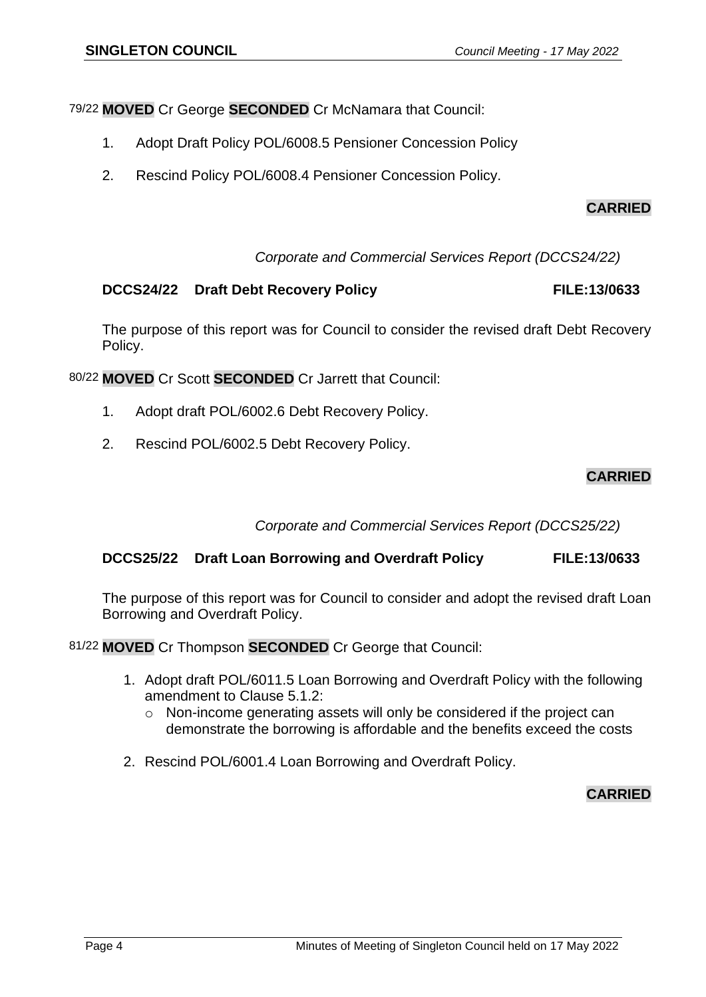79/22 **MOVED** Cr George **SECONDED** Cr McNamara that Council:

- 1. Adopt Draft Policy POL/6008.5 Pensioner Concession Policy
- 2. Rescind Policy POL/6008.4 Pensioner Concession Policy.

# **CARRIED**

*Corporate and Commercial Services Report (DCCS24/22)*

# **DCCS24/22** Draft Debt Recovery Policy **FILE:13/0633**

The purpose of this report was for Council to consider the revised draft Debt Recovery Policy.

80/22 **MOVED** Cr Scott **SECONDED** Cr Jarrett that Council:

- 1. Adopt draft POL/6002.6 Debt Recovery Policy.
- 2. Rescind POL/6002.5 Debt Recovery Policy.

# **CARRIED**

*Corporate and Commercial Services Report (DCCS25/22)*

## **DCCS25/22 Draft Loan Borrowing and Overdraft Policy FILE:13/0633**

The purpose of this report was for Council to consider and adopt the revised draft Loan Borrowing and Overdraft Policy.

81/22 **MOVED** Cr Thompson **SECONDED** Cr George that Council:

- 1. Adopt draft POL/6011.5 Loan Borrowing and Overdraft Policy with the following amendment to Clause 5.1.2:
	- o Non-income generating assets will only be considered if the project can demonstrate the borrowing is affordable and the benefits exceed the costs
- 2. Rescind POL/6001.4 Loan Borrowing and Overdraft Policy.

# **CARRIED**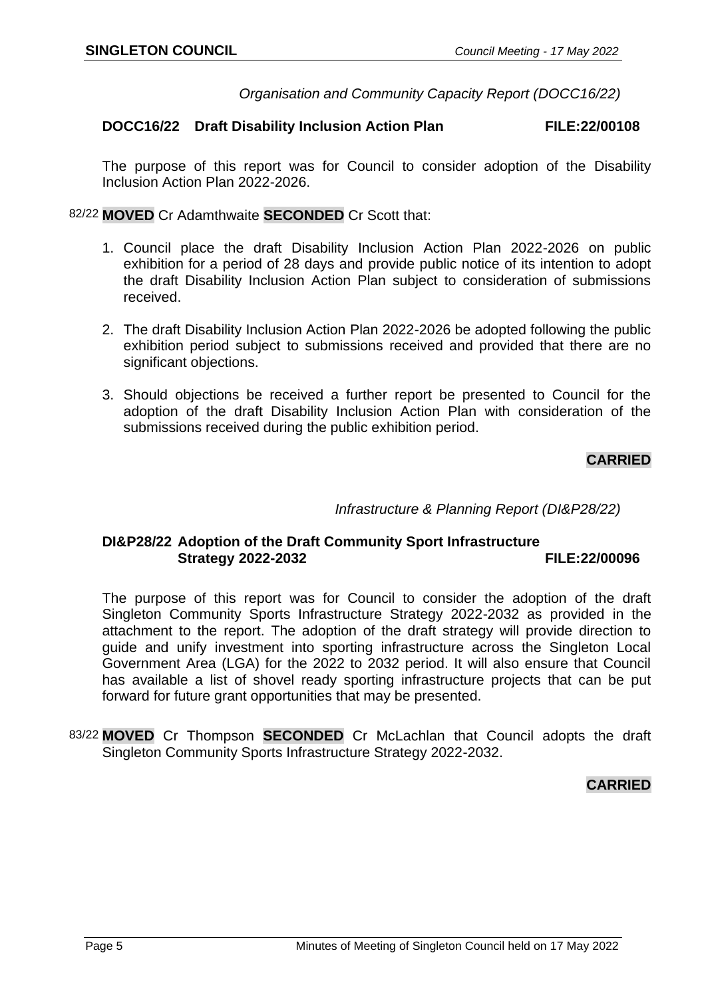*Organisation and Community Capacity Report (DOCC16/22)*

## **DOCC16/22 Draft Disability Inclusion Action Plan FILE:22/00108**

The purpose of this report was for Council to consider adoption of the Disability Inclusion Action Plan 2022-2026.

82/22 **MOVED** Cr Adamthwaite **SECONDED** Cr Scott that:

- 1. Council place the draft Disability Inclusion Action Plan 2022-2026 on public exhibition for a period of 28 days and provide public notice of its intention to adopt the draft Disability Inclusion Action Plan subject to consideration of submissions received.
- 2. The draft Disability Inclusion Action Plan 2022-2026 be adopted following the public exhibition period subject to submissions received and provided that there are no significant objections.
- 3. Should objections be received a further report be presented to Council for the adoption of the draft Disability Inclusion Action Plan with consideration of the submissions received during the public exhibition period.

# **CARRIED**

*Infrastructure & Planning Report (DI&P28/22)*

## **DI&P28/22 Adoption of the Draft Community Sport Infrastructure Strategy 2022-2032**

The purpose of this report was for Council to consider the adoption of the draft Singleton Community Sports Infrastructure Strategy 2022-2032 as provided in the attachment to the report. The adoption of the draft strategy will provide direction to guide and unify investment into sporting infrastructure across the Singleton Local Government Area (LGA) for the 2022 to 2032 period. It will also ensure that Council has available a list of shovel ready sporting infrastructure projects that can be put forward for future grant opportunities that may be presented.

83/22 **MOVED** Cr Thompson **SECONDED** Cr McLachlan that Council adopts the draft Singleton Community Sports Infrastructure Strategy 2022-2032.

# **CARRIED**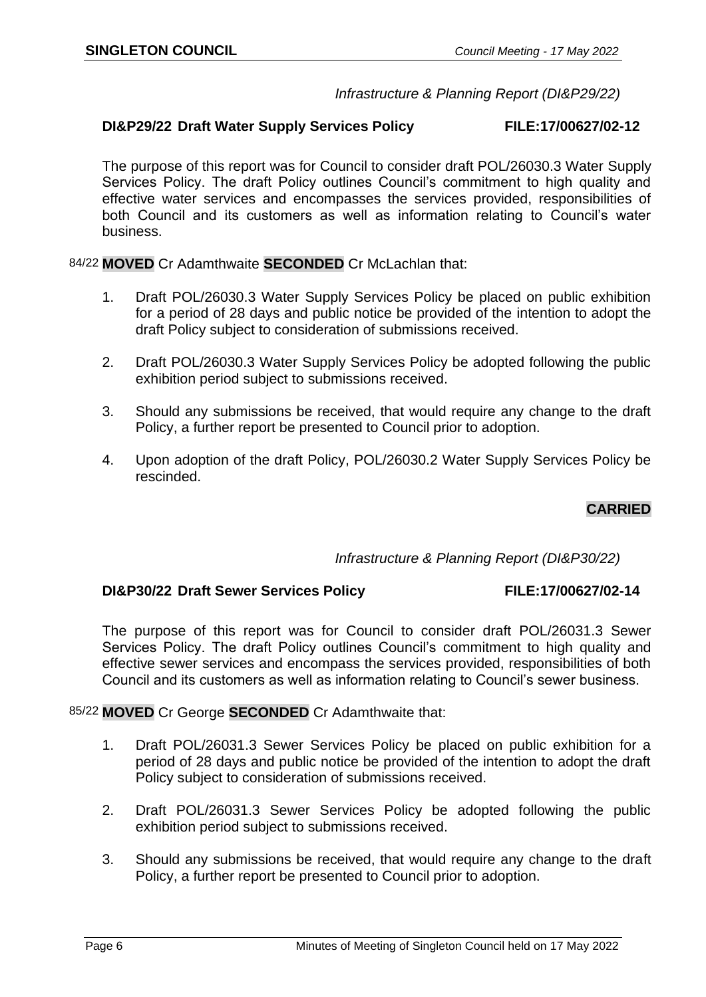## *Infrastructure & Planning Report (DI&P29/22)*

## **DI&P29/22 Draft Water Supply Services Policy FILE:17/00627/02-12**

The purpose of this report was for Council to consider draft POL/26030.3 Water Supply Services Policy. The draft Policy outlines Council's commitment to high quality and effective water services and encompasses the services provided, responsibilities of both Council and its customers as well as information relating to Council's water business.

84/22 **MOVED** Cr Adamthwaite **SECONDED** Cr McLachlan that:

- 1. Draft POL/26030.3 Water Supply Services Policy be placed on public exhibition for a period of 28 days and public notice be provided of the intention to adopt the draft Policy subject to consideration of submissions received.
- 2. Draft POL/26030.3 Water Supply Services Policy be adopted following the public exhibition period subject to submissions received.
- 3. Should any submissions be received, that would require any change to the draft Policy, a further report be presented to Council prior to adoption.
- 4. Upon adoption of the draft Policy, POL/26030.2 Water Supply Services Policy be rescinded.

# **CARRIED**

## *Infrastructure & Planning Report (DI&P30/22)*

#### **DI&P30/22 Draft Sewer Services Policy FILE:17/00627/02-14**

The purpose of this report was for Council to consider draft POL/26031.3 Sewer Services Policy. The draft Policy outlines Council's commitment to high quality and effective sewer services and encompass the services provided, responsibilities of both Council and its customers as well as information relating to Council's sewer business.

#### 85/22 **MOVED** Cr George **SECONDED** Cr Adamthwaite that:

- 1. Draft POL/26031.3 Sewer Services Policy be placed on public exhibition for a period of 28 days and public notice be provided of the intention to adopt the draft Policy subject to consideration of submissions received.
- 2. Draft POL/26031.3 Sewer Services Policy be adopted following the public exhibition period subject to submissions received.
- 3. Should any submissions be received, that would require any change to the draft Policy, a further report be presented to Council prior to adoption.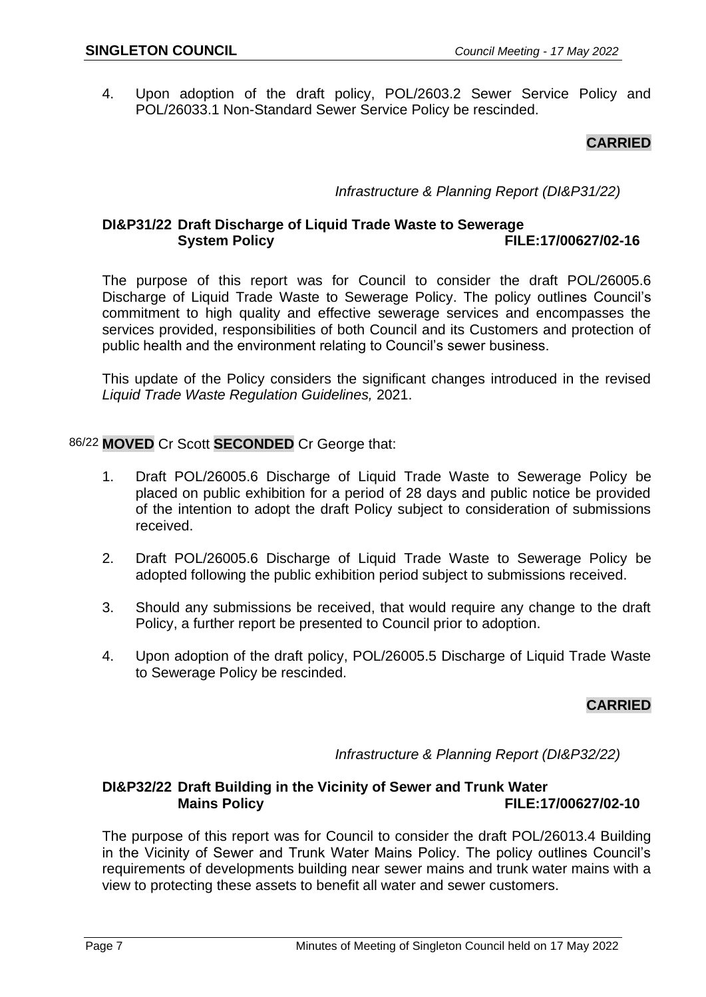4. Upon adoption of the draft policy, POL/2603.2 Sewer Service Policy and POL/26033.1 Non-Standard Sewer Service Policy be rescinded.

# **CARRIED**

*Infrastructure & Planning Report (DI&P31/22)*

# **DI&P31/22 Draft Discharge of Liquid Trade Waste to Sewerage System Policy FILE:17/00627/02-16**

The purpose of this report was for Council to consider the draft POL/26005.6 Discharge of Liquid Trade Waste to Sewerage Policy. The policy outlines Council's commitment to high quality and effective sewerage services and encompasses the services provided, responsibilities of both Council and its Customers and protection of public health and the environment relating to Council's sewer business.

This update of the Policy considers the significant changes introduced in the revised *Liquid Trade Waste Regulation Guidelines,* 2021.

86/22 **MOVED** Cr Scott **SECONDED** Cr George that:

- 1. Draft POL/26005.6 Discharge of Liquid Trade Waste to Sewerage Policy be placed on public exhibition for a period of 28 days and public notice be provided of the intention to adopt the draft Policy subject to consideration of submissions received.
- 2. Draft POL/26005.6 Discharge of Liquid Trade Waste to Sewerage Policy be adopted following the public exhibition period subject to submissions received.
- 3. Should any submissions be received, that would require any change to the draft Policy, a further report be presented to Council prior to adoption.
- 4. Upon adoption of the draft policy, POL/26005.5 Discharge of Liquid Trade Waste to Sewerage Policy be rescinded.

# **CARRIED**

*Infrastructure & Planning Report (DI&P32/22)*

## **DI&P32/22 Draft Building in the Vicinity of Sewer and Trunk Water Mains Policy FILE:17/00627/02-10**

The purpose of this report was for Council to consider the draft POL/26013.4 Building in the Vicinity of Sewer and Trunk Water Mains Policy. The policy outlines Council's requirements of developments building near sewer mains and trunk water mains with a view to protecting these assets to benefit all water and sewer customers.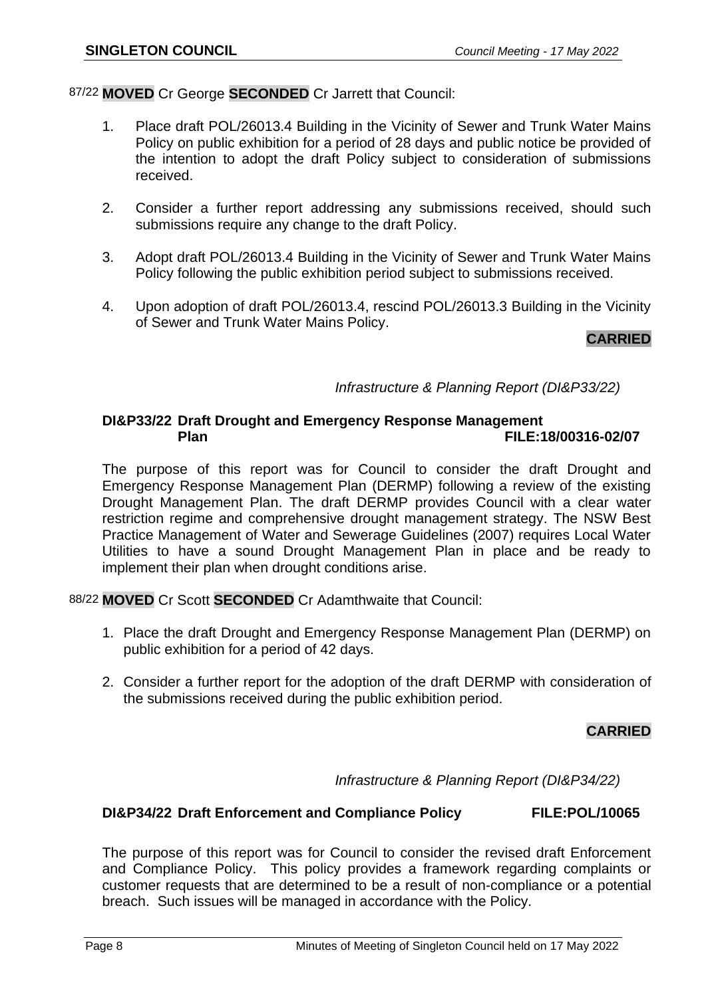## 87/22 **MOVED** Cr George **SECONDED** Cr Jarrett that Council:

- 1. Place draft POL/26013.4 Building in the Vicinity of Sewer and Trunk Water Mains Policy on public exhibition for a period of 28 days and public notice be provided of the intention to adopt the draft Policy subject to consideration of submissions received.
- 2. Consider a further report addressing any submissions received, should such submissions require any change to the draft Policy.
- 3. Adopt draft POL/26013.4 Building in the Vicinity of Sewer and Trunk Water Mains Policy following the public exhibition period subject to submissions received.
- 4. Upon adoption of draft POL/26013.4, rescind POL/26013.3 Building in the Vicinity of Sewer and Trunk Water Mains Policy.

## **CARRIED**

## *Infrastructure & Planning Report (DI&P33/22)*

## **DI&P33/22 Draft Drought and Emergency Response Management Plan FILE:18/00316-02/07**

The purpose of this report was for Council to consider the draft Drought and Emergency Response Management Plan (DERMP) following a review of the existing Drought Management Plan. The draft DERMP provides Council with a clear water restriction regime and comprehensive drought management strategy. The NSW Best Practice Management of Water and Sewerage Guidelines (2007) requires Local Water Utilities to have a sound Drought Management Plan in place and be ready to implement their plan when drought conditions arise.

88/22 **MOVED** Cr Scott **SECONDED** Cr Adamthwaite that Council:

- 1. Place the draft Drought and Emergency Response Management Plan (DERMP) on public exhibition for a period of 42 days.
- 2. Consider a further report for the adoption of the draft DERMP with consideration of the submissions received during the public exhibition period.

## **CARRIED**

*Infrastructure & Planning Report (DI&P34/22)*

#### **DI&P34/22 Draft Enforcement and Compliance Policy FILE:POL/10065**

The purpose of this report was for Council to consider the revised draft Enforcement and Compliance Policy. This policy provides a framework regarding complaints or customer requests that are determined to be a result of non-compliance or a potential breach. Such issues will be managed in accordance with the Policy.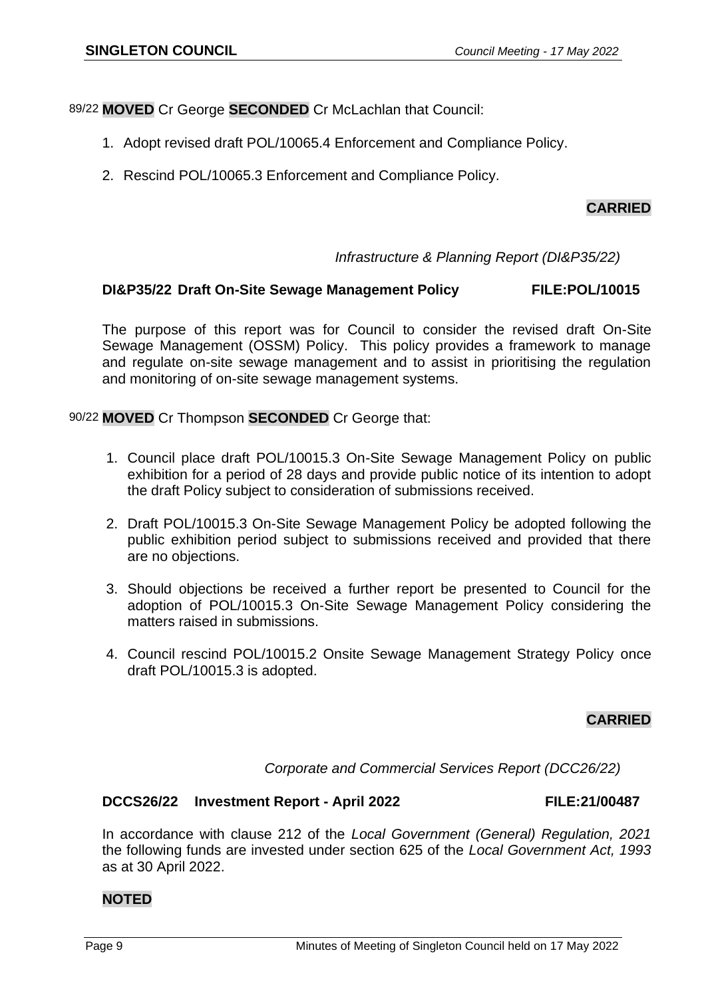89/22 **MOVED** Cr George **SECONDED** Cr McLachlan that Council:

- 1. Adopt revised draft POL/10065.4 Enforcement and Compliance Policy.
- 2. Rescind POL/10065.3 Enforcement and Compliance Policy.

# **CARRIED**

## *Infrastructure & Planning Report (DI&P35/22)*

## **DI&P35/22 Draft On-Site Sewage Management Policy FILE:POL/10015**

The purpose of this report was for Council to consider the revised draft On-Site Sewage Management (OSSM) Policy. This policy provides a framework to manage and regulate on-site sewage management and to assist in prioritising the regulation and monitoring of on-site sewage management systems.

90/22 **MOVED** Cr Thompson **SECONDED** Cr George that:

- 1. Council place draft POL/10015.3 On-Site Sewage Management Policy on public exhibition for a period of 28 days and provide public notice of its intention to adopt the draft Policy subject to consideration of submissions received.
- 2. Draft POL/10015.3 On-Site Sewage Management Policy be adopted following the public exhibition period subject to submissions received and provided that there are no objections.
- 3. Should objections be received a further report be presented to Council for the adoption of POL/10015.3 On-Site Sewage Management Policy considering the matters raised in submissions.
- 4. Council rescind POL/10015.2 Onsite Sewage Management Strategy Policy once draft POL/10015.3 is adopted.

# **CARRIED**

*Corporate and Commercial Services Report (DCC26/22)*

#### **DCCS26/22 Investment Report - April 2022 FILE:21/00487**

In accordance with clause 212 of the *Local Government (General) Regulation, 2021* the following funds are invested under section 625 of the *Local Government Act, 1993* as at 30 April 2022.

## **NOTED**